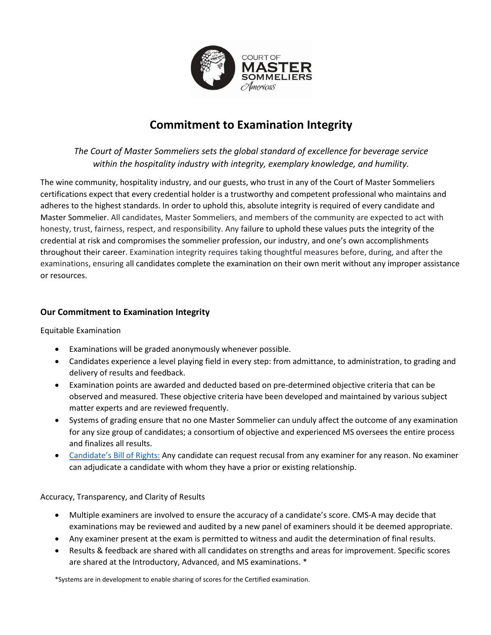

# **Commitment to Examination Integrity**

*The Court of Master Sommeliers sets the global standard of excellence for beverage service within the hospitality industry with integrity, exemplary knowledge, and humility.*

The wine community, hospitality industry, and our guests, who trust in any of the Court of Master Sommeliers certifications expect that every credential holder is a trustworthy and competent professional who maintains and adheres to the highest standards. In order to uphold this, absolute integrity is required of every candidate and Master Sommelier. All candidates, Master Sommeliers, and members of the community are expected to act with honesty, trust, fairness, respect, and responsibility. Any failure to uphold these values puts the integrity of the credential at risk and compromises the sommelier profession, our industry, and one's own accomplishments throughout their career. Examination integrity requires taking thoughtful measures before, during, and after the examinations, ensuring all candidates complete the examination on their own merit without any improper assistance or resources.

# **Our Commitment to Examination Integrity**

### Equitable Examination

- Examinations will be graded anonymously whenever possible.
- Candidates experience a level playing field in every step: from admittance, to administration, to grading and delivery of results and feedback.
- Examination points are awarded and deducted based on pre-determined objective criteria that can be observed and measured. These objective criteria have been developed and maintained by various subject matter experts and are reviewed frequently.
- Systems of grading ensure that no one Master Sommelier can unduly affect the outcome of any examination for any size group of candidates; a consortium of objective and experienced MS oversees the entire process and finalizes all results.
- [Candidate's Bill of Rights:](https://www.mastersommeliers.org/sites/default/files/CMS-A%20Candidate%20Bill%20of%20Rights%20-%20COE%20Suite%20%28May%20202%29.pdf) Any candidate can request recusal from any examiner for any reason. No examiner can adjudicate a candidate with whom they have a prior or existing relationship.

Accuracy, Transparency, and Clarity of Results

- Multiple examiners are involved to ensure the accuracy of a candidate's score. CMS-A may decide that examinations may be reviewed and audited by a new panel of examiners should it be deemed appropriate.
- Any examiner present at the exam is permitted to witness and audit the determination of final results.
- Results & feedback are shared with all candidates on strengths and areas for improvement. Specific scores are shared at the Introductory, Advanced, and MS examinations. \*

\*Systems are in development to enable sharing of scores for the Certified examination.